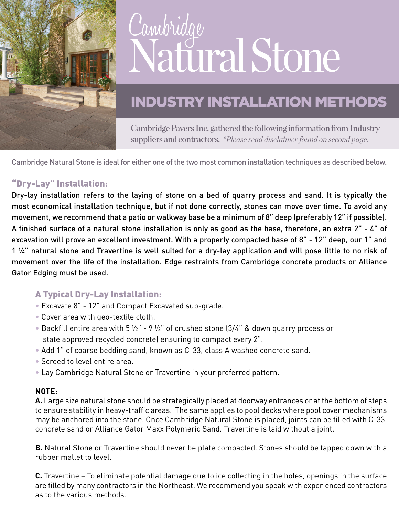

# Cambridge Natural Stone

## INDUSTRY INSTALLATION METHODS

Cambridge Pavers Inc. gathered the following information from Industry suppliers and contractors. *\*Please read disclaimer found on second page.*

Cambridge Natural Stone is ideal for either one of the two most common installation techniques as described below.

#### "Dry-Lay" Installation:

Dry-lay installation refers to the laying of stone on a bed of quarry process and sand. It is typically the most economical installation technique, but if not done correctly, stones can move over time. To avoid any movement, we recommend that a patio or walkway base be a minimum of 8" deep (preferably 12" if possible). A finished surface of a natural stone installation is only as good as the base, therefore, an extra 2" - 4" of excavation will prove an excellent investment. With a properly compacted base of 8" - 12" deep, our 1" and 1 ¼" natural stone and Travertine is well suited for a dry-lay application and will pose little to no risk of movement over the life of the installation. Edge restraints from Cambridge concrete products or Alliance Gator Edging must be used.

### A Typical Dry-Lay Installation:

- Excavate 8" 12" and Compact Excavated sub-grade.
- Cover area with geo-textile cloth.
- Backfill entire area with 5  $\frac{1}{2}$ " 9  $\frac{1}{2}$ " of crushed stone (3/4" & down quarry process or state approved recycled concrete) ensuring to compact every 2".
- Add 1" of coarse bedding sand, known as C-33, class A washed concrete sand.
- Screed to level entire area.
- Lay Cambridge Natural Stone or Travertine in your preferred pattern.

#### **NOTE:**

**A.** Large size natural stone should be strategically placed at doorway entrances or at the bottom of steps to ensure stability in heavy-traffic areas. The same applies to pool decks where pool cover mechanisms may be anchored into the stone. Once Cambridge Natural Stone is placed, joints can be filled with C-33, concrete sand or Alliance Gator Maxx Polymeric Sand. Travertine is laid without a joint.

**B.** Natural Stone or Travertine should never be plate compacted. Stones should be tapped down with a rubber mallet to level.

**C.** Travertine – To eliminate potential damage due to ice collecting in the holes, openings in the surface are filled by many contractors in the Northeast. We recommend you speak with experienced contractors as to the various methods.